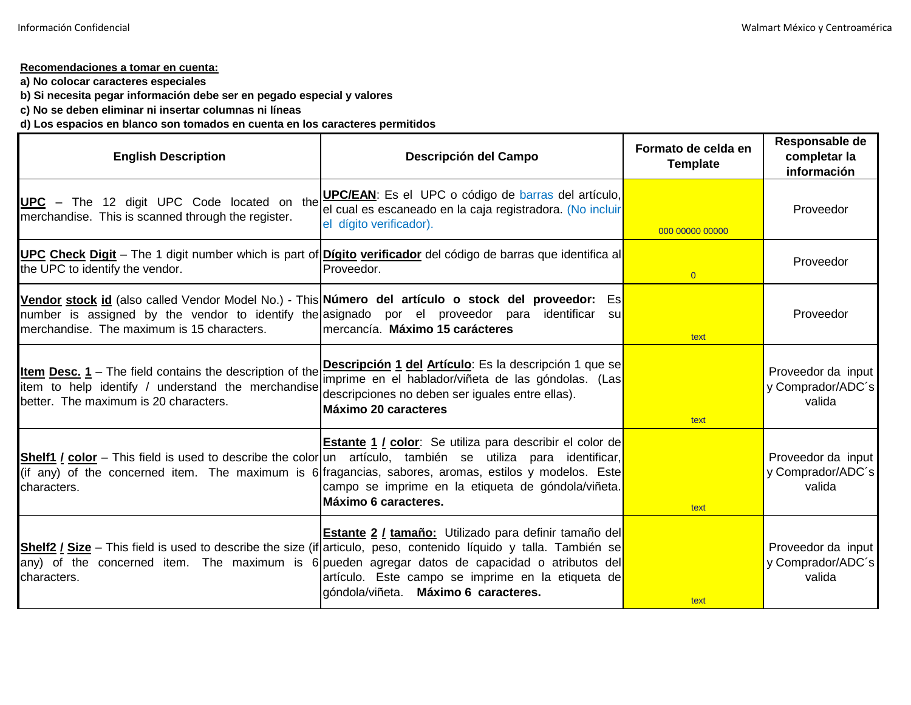## **Recomendaciones a tomar en cuenta:**

**a) No colocar caracteres especiales**

**b) Si necesita pegar información debe ser en pegado especial y valores**

**c) No se deben eliminar ni insertar columnas ni líneas**

**d) Los espacios en blanco son tomados en cuenta en los caracteres permitidos**

| <b>English Description</b>                                                                                                                                     | Descripción del Campo                                                                                                                                                                                                                                                                                                                                                            | Formato de celda en<br><b>Template</b> | Responsable de<br>completar la<br>información     |
|----------------------------------------------------------------------------------------------------------------------------------------------------------------|----------------------------------------------------------------------------------------------------------------------------------------------------------------------------------------------------------------------------------------------------------------------------------------------------------------------------------------------------------------------------------|----------------------------------------|---------------------------------------------------|
| UPC - The 12 digit UPC Code located on the<br>merchandise. This is scanned through the register.                                                               | <b>UPC/EAN:</b> Es el UPC o código de barras del artículo,<br>el cual es escaneado en la caja registradora. (No incluir<br>el dígito verificador).                                                                                                                                                                                                                               | 000 00000 00000                        | Proveedor                                         |
| the UPC to identify the vendor.                                                                                                                                | UPC Check Digit - The 1 digit number which is part of Dígito verificador del código de barras que identifica al<br>Proveedor.                                                                                                                                                                                                                                                    | $\overline{0}$                         | Proveedor                                         |
| number is assigned by the vendor to identify the asignado por el proveedor para<br>merchandise. The maximum is 15 characters.                                  | Vendor stock id (also called Vendor Model No.) - This Número del artículo o stock del proveedor: Es<br>identificar<br>sul<br>Imercancía. Máximo 15 carácteres                                                                                                                                                                                                                    | text                                   | Proveedor                                         |
| <b>Item Desc. 1</b> – The field contains the description of the<br>item to help identify / understand the merchandise<br>better. The maximum is 20 characters. | Descripción 1 del Artículo: Es la descripción 1 que se<br>imprime en el hablador/viñeta de las góndolas. (Las <mark>i</mark><br>descripciones no deben ser iguales entre ellas).<br>Máximo 20 caracteres                                                                                                                                                                         | text                                   | Proveedor da input<br>y Comprador/ADC's<br>valida |
| characters.                                                                                                                                                    | <b>Estante 1 / color</b> : Se utiliza para describir el color de<br><b>Shelf1 / color</b> – This field is used to describe the color un artículo, también se utiliza para identificar,<br>(if any) of the concerned item. The maximum is 6 fragancias, sabores, aromas, estilos y modelos. Este<br>campo se imprime en la etiqueta de góndola/viñeta.<br>Máximo 6 caracteres.    | text                                   | Proveedor da input<br>y Comprador/ADC's<br>valida |
| characters.                                                                                                                                                    | <b>Estante 2 / tamaño:</b> Utilizado para definir tamaño del<br>Shelf2 / Size – This field is used to describe the size (if articulo, peso, contenido líquido y talla. También se<br>any) of the concerned item. The maximum is 6 pueden agregar datos de capacidad o atributos del<br>artículo. Este campo se imprime en la etiqueta de<br>góndola/viñeta. Máximo 6 caracteres. | text                                   | Proveedor da input<br>y Comprador/ADC's<br>valida |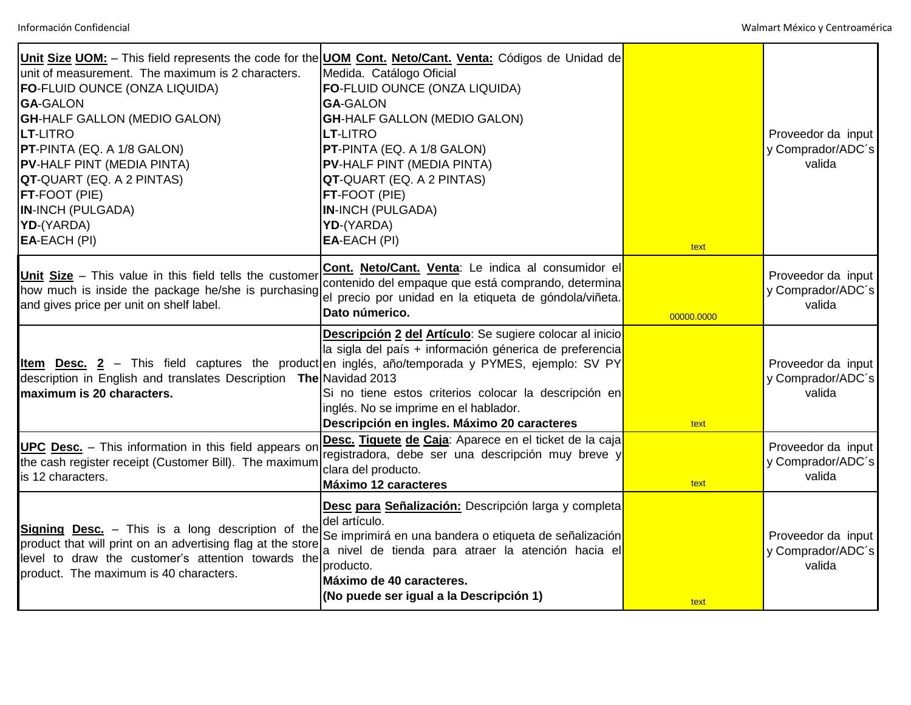| unit of measurement. The maximum is 2 characters.<br><b>FO-FLUID OUNCE (ONZA LIQUIDA)</b><br><b>GA-GALON</b><br><b>GH-HALF GALLON (MEDIO GALON)</b><br><b>LT-LITRO</b><br><b>PT-PINTA (EQ. A 1/8 GALON)</b><br><b>PV-HALF PINT (MEDIA PINTA)</b><br><b>QT-</b> QUART (EQ. A 2 PINTAS)<br><b>FT-FOOT (PIE)</b><br><b>IN-INCH (PULGADA)</b><br>YD-(YARDA)<br>EA-EACH (PI) | Unit Size UOM: - This field represents the code for the UOM Cont. Neto/Cant. Venta: Códigos de Unidad de<br>Medida. Catálogo Oficial<br>FO-FLUID OUNCE (ONZA LIQUIDA)<br><b>GA-GALON</b><br><b>GH-HALF GALLON (MEDIO GALON)</b><br><b>LT-LITRO</b><br>PT-PINTA (EQ. A 1/8 GALON)<br><b>PV-HALF PINT (MEDIA PINTA)</b><br>QT-QUART (EQ. A 2 PINTAS)<br>FT-FOOT (PIE)<br><b>IN-INCH (PULGADA)</b><br>YD-(YARDA)<br>EA-EACH (PI) | text       | Proveedor da input<br>y Comprador/ADC's<br>valida |
|-------------------------------------------------------------------------------------------------------------------------------------------------------------------------------------------------------------------------------------------------------------------------------------------------------------------------------------------------------------------------|-------------------------------------------------------------------------------------------------------------------------------------------------------------------------------------------------------------------------------------------------------------------------------------------------------------------------------------------------------------------------------------------------------------------------------|------------|---------------------------------------------------|
| Unit Size - This value in this field tells the customer<br>how much is inside the package he/she is purchasing<br>and gives price per unit on shelf label.                                                                                                                                                                                                              | Cont. Neto/Cant. Venta: Le indica al consumidor el<br>contenido del empaque que está comprando, determina<br>el precio por unidad en la etiqueta de góndola/viñeta.<br>Dato númerico.                                                                                                                                                                                                                                         | 00000.0000 | Proveedor da input<br>y Comprador/ADC's<br>valida |
| description in English and translates Description The Navidad 2013<br>maximum is 20 characters.                                                                                                                                                                                                                                                                         | <b>Descripción 2 del Artículo:</b> Se sugiere colocar al inicio<br>la sigla del país + información génerica de preferencia<br>Item Desc. 2 - This field captures the product en inglés, año/temporada y PYMES, ejemplo: SV PY<br>Si no tiene estos criterios colocar la descripción en<br>inglés. No se imprime en el hablador.<br>Descripción en ingles. Máximo 20 caracteres                                                | text       | Proveedor da input<br>y Comprador/ADC's<br>valida |
| UPC Desc. - This information in this field appears on<br>the cash register receipt (Customer Bill). The maximum<br>is 12 characters.                                                                                                                                                                                                                                    | Desc. Tiquete de Caja: Aparece en el ticket de la caja<br>registradora, debe ser una descripción muy breve y<br>clara del producto.<br><b>Máximo 12 caracteres</b>                                                                                                                                                                                                                                                            | text       | Proveedor da input<br>y Comprador/ADC's<br>valida |
| Signing Desc. - This is a long description of the<br>product that will print on an advertising flag at the store<br>level to draw the customer's attention towards the<br>product. The maximum is 40 characters.                                                                                                                                                        | Desc para Señalización: Descripción larga y completa<br>del artículo.<br>Se imprimirá en una bandera o etiqueta de señalización<br>a nivel de tienda para atraer la atención hacia el<br>producto.<br>Máximo de 40 caracteres.<br>(No puede ser igual a la Descripción 1)                                                                                                                                                     | text       | Proveedor da input<br>y Comprador/ADC's<br>valida |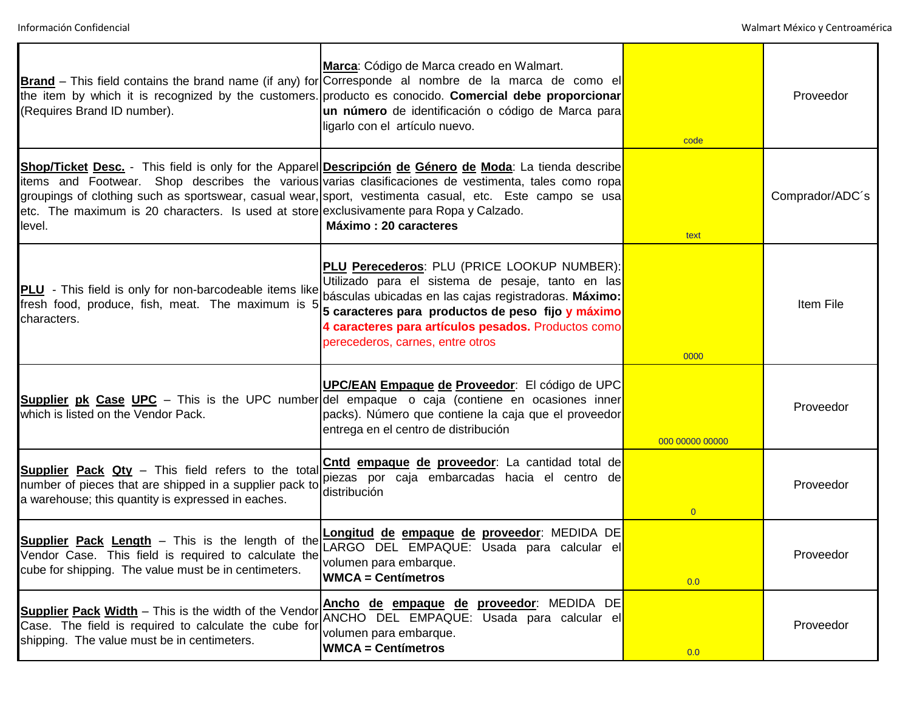| (Requires Brand ID number).                                                                                                                                                | Marca: Código de Marca creado en Walmart.<br><b>Brand</b> – This field contains the brand name (if any) for Corresponde al nombre de la marca de como el<br>the item by which it is recognized by the customers. producto es conocido. Comercial debe proporcionar<br>un número de identificación o código de Marca para<br>ligarlo con el artículo nuevo. | code            | Proveedor       |
|----------------------------------------------------------------------------------------------------------------------------------------------------------------------------|------------------------------------------------------------------------------------------------------------------------------------------------------------------------------------------------------------------------------------------------------------------------------------------------------------------------------------------------------------|-----------------|-----------------|
| etc. The maximum is 20 characters. Is used at store exclusivamente para Ropa y Calzado.<br>level.                                                                          | Shop/Ticket Desc. - This field is only for the Apparel Descripción de Género de Moda: La tienda describe<br>items and Footwear. Shop describes the various varias clasificaciones de vestimenta, tales como ropa<br>groupings of clothing such as sportswear, casual wear, sport, vestimenta casual, etc. Este campo se usa<br>Máximo: 20 caracteres       | text            | Comprador/ADC's |
| <b>PLU</b> - This field is only for non-barcodeable items like<br>fresh food, produce, fish, meat. The maximum is 5<br>characters.                                         | <b>PLU Perecederos: PLU (PRICE LOOKUP NUMBER):</b><br>Utilizado para el sistema de pesaje, tanto en las<br>básculas ubicadas en las cajas registradoras. Máximo:<br>5 caracteres para productos de peso fijo y máximo<br>4 caracteres para artículos pesados. Productos como<br>perecederos, carnes, entre otros                                           | 0000            | Item File       |
| which is listed on the Vendor Pack.                                                                                                                                        | <b>UPC/EAN Empaque de Proveedor</b> : El código de UPC<br><b>Supplier pk Case UPC</b> – This is the UPC number del empaque o caja (contiene en ocasiones inner<br>packs). Número que contiene la caja que el proveedor<br>entrega en el centro de distribución                                                                                             | 000 00000 00000 | Proveedor       |
| <b>Supplier Pack Qty</b> - This field refers to the total<br>number of pieces that are shipped in a supplier pack to<br>a warehouse; this quantity is expressed in eaches. | Cntd empaque de proveedor: La cantidad total de<br>piezas por caja embarcadas hacia el centro de<br>distribución                                                                                                                                                                                                                                           | $\overline{0}$  | Proveedor       |
| <b>Supplier Pack Length</b> – This is the length of the<br>Vendor Case. This field is required to calculate the<br>cube for shipping. The value must be in centimeters.    | Longitud de empaque de proveedor: MEDIDA DE<br>LARGO DEL EMPAQUE: Usada para calcular el<br>volumen para embarque.<br><b>WMCA = Centímetros</b>                                                                                                                                                                                                            | 0.0             | Proveedor       |
| <b>Supplier Pack Width</b> – This is the width of the Vendor<br>Case. The field is required to calculate the cube for<br>shipping. The value must be in centimeters.       | Ancho de empaque de proveedor: MEDIDA DE<br>ANCHO DEL EMPAQUE: Usada para calcular el<br>volumen para embarque.<br><b>WMCA = Centímetros</b>                                                                                                                                                                                                               | 0.0             | Proveedor       |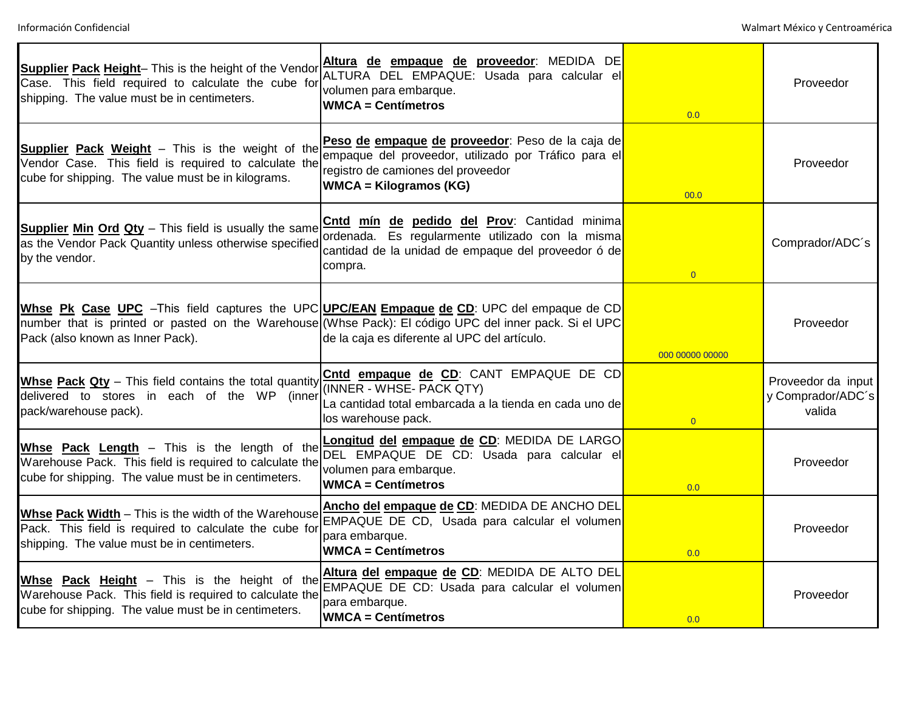| Supplier Pack Height- This is the height of the Vendor<br>Case. This field required to calculate the cube for<br>shipping. The value must be in centimeters.          | Altura de empaque de proveedor: MEDIDA DE<br>ALTURA DEL EMPAQUE: Usada para calcular el<br>volumen para embarque.<br><b>WMCA = Centímetros</b>                                                                                                        | 0.0             | Proveedor                                         |
|-----------------------------------------------------------------------------------------------------------------------------------------------------------------------|-------------------------------------------------------------------------------------------------------------------------------------------------------------------------------------------------------------------------------------------------------|-----------------|---------------------------------------------------|
| <b>Supplier Pack Weight</b> - This is the weight of the<br>Vendor Case. This field is required to calculate the<br>cube for shipping. The value must be in kilograms. | Peso de empaque de proveedor: Peso de la caja de<br>empaque del proveedor, utilizado por Tráfico para el<br>registro de camiones del proveedor<br><b>WMCA = Kilogramos (KG)</b>                                                                       | 00.0            | Proveedor                                         |
| <b>Supplier Min Ord Qty</b> - This field is usually the same<br>as the Vendor Pack Quantity unless otherwise specified<br>by the vendor.                              | Cntd mín de pedido del Prov: Cantidad minima<br>ordenada. Es regularmente utilizado con la misma<br>cantidad de la unidad de empaque del proveedor ó de<br>compra.                                                                                    | $\overline{0}$  | Comprador/ADC's                                   |
| Pack (also known as Inner Pack).                                                                                                                                      | Whse Pk Case UPC - This field captures the UPC UPC/EAN Empaque de CD: UPC del empaque de CD<br>number that is printed or pasted on the Warehouse (Whse Pack): El código UPC del inner pack. Si el UPC<br>de la caja es diferente al UPC del artículo. | 000 00000 00000 | Proveedor                                         |
| Whse Pack Qty - This field contains the total quantity<br>delivered to stores in each of the WP (inner<br>pack/warehouse pack).                                       | Cntd empaque de CD: CANT EMPAQUE DE CD<br>(INNER - WHSE- PACK QTY)<br>La cantidad total embarcada a la tienda en cada uno de<br>los warehouse pack.                                                                                                   | $\overline{0}$  | Proveedor da input<br>y Comprador/ADC's<br>valida |
| Whse Pack Length - This is the length of the<br>Warehouse Pack. This field is required to calculate the<br>cube for shipping. The value must be in centimeters.       | Longitud del empaque de CD: MEDIDA DE LARGO<br>DEL EMPAQUE DE CD: Usada para calcular el<br>volumen para embarque.<br><b>WMCA = Centímetros</b>                                                                                                       | 0.0             | Proveedor                                         |
| Whse Pack Width - This is the width of the Warehouse<br>Pack. This field is required to calculate the cube for<br>shipping. The value must be in centimeters.         | Ancho del empaque de CD: MEDIDA DE ANCHO DEL<br>EMPAQUE DE CD, Usada para calcular el volumen<br>para embarque.<br><b>WMCA = Centímetros</b>                                                                                                          | 0.0             | Proveedor                                         |
| Whse Pack Height - This is the height of the<br>Warehouse Pack. This field is required to calculate the<br>cube for shipping. The value must be in centimeters.       | Altura del empaque de CD: MEDIDA DE ALTO DEL<br>EMPAQUE DE CD: Usada para calcular el volumen<br>para embarque.<br><b>WMCA = Centímetros</b>                                                                                                          | 0.0             | Proveedor                                         |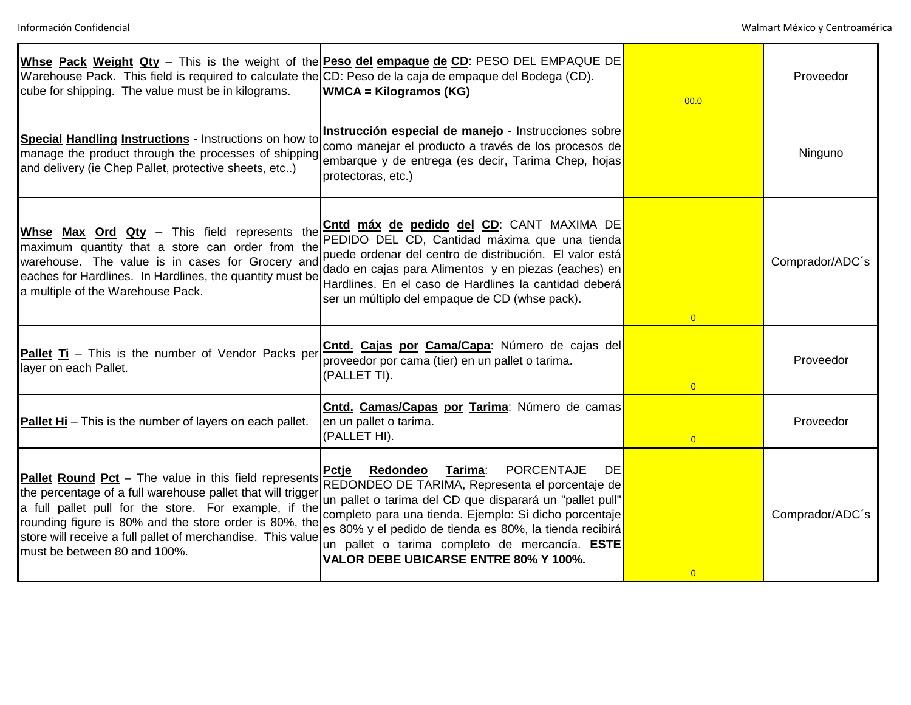| Warehouse Pack. This field is required to calculate the CD: Peso de la caja de empaque del Bodega (CD).<br>cube for shipping. The value must be in kilograms.                                                                                                                                                                          | Whse Pack Weight Qty - This is the weight of the <b>Peso del empaque de CD</b> : PESO DEL EMPAQUE DE<br><b>WMCA</b> = Kilogramos (KG)                                                                                                                                                                                                                                                                | 00.0           | Proveedor       |
|----------------------------------------------------------------------------------------------------------------------------------------------------------------------------------------------------------------------------------------------------------------------------------------------------------------------------------------|------------------------------------------------------------------------------------------------------------------------------------------------------------------------------------------------------------------------------------------------------------------------------------------------------------------------------------------------------------------------------------------------------|----------------|-----------------|
| <b>Special Handling Instructions - Instructions on how to</b><br>manage the product through the processes of shipping<br>and delivery (ie Chep Pallet, protective sheets, etc)                                                                                                                                                         | Instrucción especial de manejo - Instrucciones sobre<br>como manejar el producto a través de los procesos de<br>embarque y de entrega (es decir, Tarima Chep, hojas<br>protectoras, etc.)                                                                                                                                                                                                            |                | Ninguno         |
| Whse Max Ord Qty - This field represents the<br>maximum quantity that a store can order from the<br>warehouse. The value is in cases for Grocery and<br>eaches for Hardlines. In Hardlines, the quantity must be<br>a multiple of the Warehouse Pack.                                                                                  | Cntd máx de pedido del CD: CANT MAXIMA DE<br>PEDIDO DEL CD, Cantidad máxima que una tienda<br>puede ordenar del centro de distribución. El valor está<br>dado en cajas para Alimentos y en piezas (eaches) en<br>Hardlines. En el caso de Hardlines la cantidad deberá<br>ser un múltiplo del empaque de CD (whse pack).                                                                             | $\overline{0}$ | Comprador/ADC's |
| Pallet Ti - This is the number of Vendor Packs per<br>layer on each Pallet.                                                                                                                                                                                                                                                            | Cntd. Cajas por Cama/Capa: Número de cajas del<br>proveedor por cama (tier) en un pallet o tarima.<br>(PALLET TI).                                                                                                                                                                                                                                                                                   | $\overline{0}$ | Proveedor       |
| Pallet Hi - This is the number of layers on each pallet.                                                                                                                                                                                                                                                                               | Cntd. Camas/Capas por Tarima: Número de camas<br>en un pallet o tarima.<br>(PALLET HI).                                                                                                                                                                                                                                                                                                              | $\overline{0}$ | Proveedor       |
| Pallet Round Pct - The value in this field represents<br>the percentage of a full warehouse pallet that will trigger<br>a full pallet pull for the store. For example, if the<br>rounding figure is 80% and the store order is 80%, the<br>store will receive a full pallet of merchandise. This value<br>must be between 80 and 100%. | <b>PORCENTAJE</b><br>Redondeo<br>Tarima:<br><b>Pctje</b><br><b>DE</b><br>REDONDEO DE TARIMA, Representa el porcentaje de<br>un pallet o tarima del CD que disparará un "pallet pull"<br>completo para una tienda. Ejemplo: Si dicho porcentaje<br>es 80% y el pedido de tienda es 80%, la tienda recibirá<br>un pallet o tarima completo de mercancía. ESTE<br>VALOR DEBE UBICARSE ENTRE 80% Y 100%. | $\overline{0}$ | Comprador/ADC's |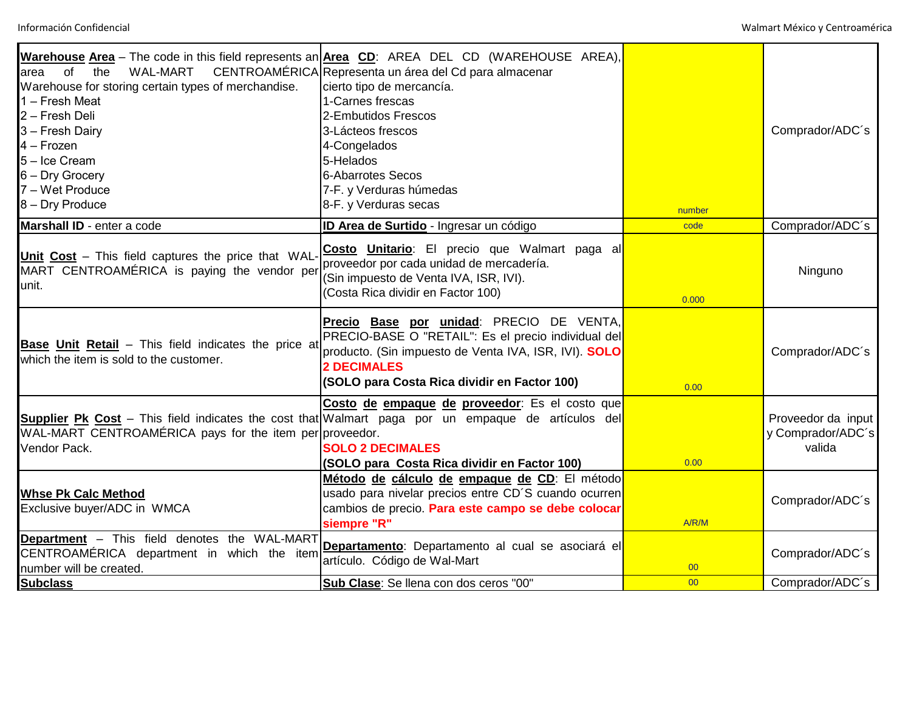| of<br><b>WAL-MART</b><br>the<br>area<br>Warehouse for storing certain types of merchandise.<br>1 – Fresh Meat<br>2 - Fresh Deli<br>3 - Fresh Dairy<br>4 – Frozen<br>5-Ice Cream<br>6 - Dry Grocery<br>7 - Wet Produce<br>8 - Dry Produce | Warehouse Area - The code in this field represents an Area CD: AREA DEL CD (WAREHOUSE AREA),<br>CENTROAMÉRICA Representa un área del Cd para almacenar<br>cierto tipo de mercancía.<br>1-Carnes frescas<br>2-Embutidos Frescos<br>3-Lácteos frescos<br>4-Congelados<br>5-Helados<br><b>6-Abarrotes Secos</b><br>7-F. y Verduras húmedas<br>8-F. y Verduras secas |        | Comprador/ADC's                                   |
|------------------------------------------------------------------------------------------------------------------------------------------------------------------------------------------------------------------------------------------|------------------------------------------------------------------------------------------------------------------------------------------------------------------------------------------------------------------------------------------------------------------------------------------------------------------------------------------------------------------|--------|---------------------------------------------------|
|                                                                                                                                                                                                                                          |                                                                                                                                                                                                                                                                                                                                                                  | number |                                                   |
| Marshall ID - enter a code                                                                                                                                                                                                               | <b>ID Area de Surtido</b> - Ingresar un código                                                                                                                                                                                                                                                                                                                   | code   | Comprador/ADC's                                   |
| Unit Cost - This field captures the price that WAL-<br>MART CENTROAMÉRICA is paying the vendor per<br>unit.                                                                                                                              | Costo Unitario: El precio que Walmart paga al<br>proveedor por cada unidad de mercadería.<br>Sin impuesto de Venta IVA, ISR, IVI).<br>(Costa Rica dividir en Factor 100)                                                                                                                                                                                         | 0.000  | Ninguno                                           |
| Base Unit Retail - This field indicates the price at<br>which the item is sold to the customer.                                                                                                                                          | Precio Base por unidad: PRECIO DE VENTA,<br>PRECIO-BASE O "RETAIL": Es el precio individual del<br>producto. (Sin impuesto de Venta IVA, ISR, IVI). SOLO<br><b>2 DECIMALES</b><br>(SOLO para Costa Rica dividir en Factor 100)                                                                                                                                   | 0.00   | Comprador/ADC's                                   |
| WAL-MART CENTROAMÉRICA pays for the item per proveedor.<br>Vendor Pack.                                                                                                                                                                  | Costo de empaque de proveedor: Es el costo que<br>Supplier Pk Cost - This field indicates the cost that Walmart paga por un empaque de artículos del<br><b>SOLO 2 DECIMALES</b><br>(SOLO para Costa Rica dividir en Factor 100)                                                                                                                                  | 0.00   | Proveedor da input<br>y Comprador/ADC's<br>valida |
| <b>Whse Pk Calc Method</b><br>Exclusive buyer/ADC in WMCA                                                                                                                                                                                | Método de cálculo de empaque de CD: El método<br>usado para nivelar precios entre CD'S cuando ocurren<br>cambios de precio. Para este campo se debe colocar<br>siempre "R"                                                                                                                                                                                       | A/R/M  | Comprador/ADC's                                   |
| Department - This field denotes the WAL-MART<br>CENTROAMÉRICA department in which the item<br>number will be created.                                                                                                                    | Departamento: Departamento al cual se asociará el<br>artículo. Código de Wal-Mart                                                                                                                                                                                                                                                                                | 00     | Comprador/ADC's                                   |
| <b>Subclass</b>                                                                                                                                                                                                                          | Sub Clase: Se llena con dos ceros "00"                                                                                                                                                                                                                                                                                                                           | 00     | Comprador/ADC's                                   |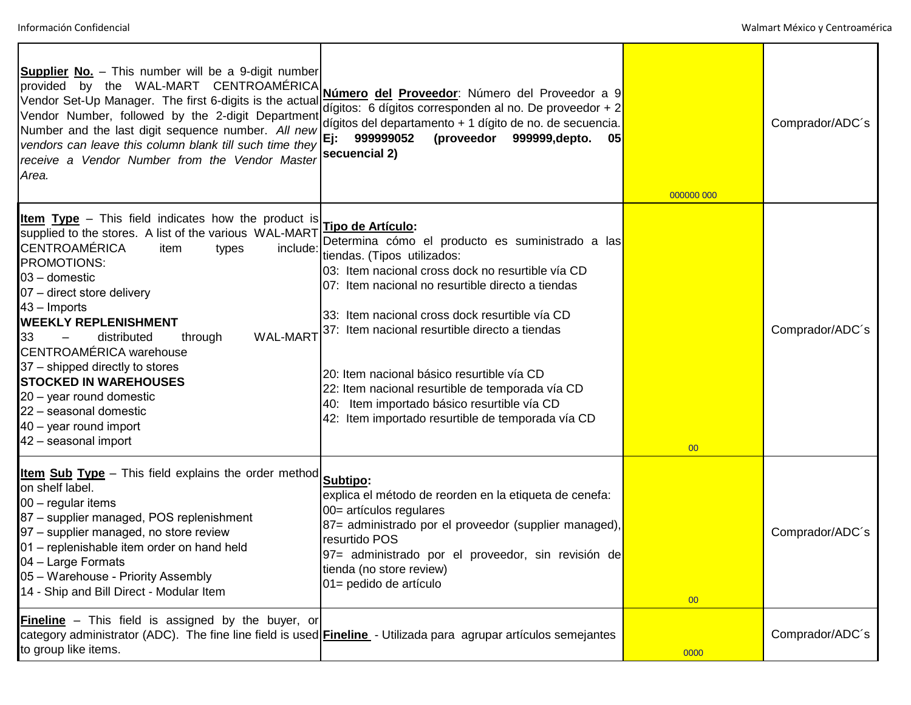| <b>Supplier No.</b> - This number will be a 9-digit number<br>provided by the WAL-MART CENTROAMÉRICA<br>Vendor Set-Up Manager. The first 6-digits is the actual<br>Vendor Number, followed by the 2-digit Department<br>Number and the last digit sequence number. All new<br>vendors can leave this column blank till such time they<br>receive a Vendor Number from the Vendor Master<br>Area.                                                                                                                                                       | Número del Proveedor: Número del Proveedor a 9<br>dígitos: 6 dígitos corresponden al no. De proveedor + 2<br>dígitos del departamento + 1 dígito de no. de secuencia.<br>999999052<br>(proveedor 999999, depto.<br>Ej:<br>05<br>secuencial 2)                                                                                                                                                                                                                                                                            | 000000 000 | Comprador/ADC's |
|--------------------------------------------------------------------------------------------------------------------------------------------------------------------------------------------------------------------------------------------------------------------------------------------------------------------------------------------------------------------------------------------------------------------------------------------------------------------------------------------------------------------------------------------------------|--------------------------------------------------------------------------------------------------------------------------------------------------------------------------------------------------------------------------------------------------------------------------------------------------------------------------------------------------------------------------------------------------------------------------------------------------------------------------------------------------------------------------|------------|-----------------|
| <b>Item Type</b> – This field indicates how the product is<br>supplied to the stores. A list of the various WAL-MART<br><b>CENTROAMÉRICA</b><br>include:<br>item<br>types<br>PROMOTIONS:<br>03 - domestic<br>07 - direct store delivery<br>43 - Imports<br><b>WEEKLY REPLENISHMENT</b><br><b>WAL-MART</b><br>33<br>distributed<br>through<br><b>CENTROAMÉRICA</b> warehouse<br>37 – shipped directly to stores<br><b>STOCKED IN WAREHOUSES</b><br>20 - year round domestic<br>22 - seasonal domestic<br>40 - year round import<br>42 - seasonal import | Tipo de Artículo:<br>Determina cómo el producto es suministrado a las<br>tiendas. (Tipos utilizados:<br>03: Item nacional cross dock no resurtible vía CD<br>07: Item nacional no resurtible directo a tiendas<br>33: Item nacional cross dock resurtible vía CD<br>37: Item nacional resurtible directo a tiendas<br>20: Item nacional básico resurtible vía CD<br>22: Item nacional resurtible de temporada vía CD<br>40: Item importado básico resurtible vía CD<br>42: Item importado resurtible de temporada vía CD | 00         | Comprador/ADC's |
| <b>Item Sub Type</b> - This field explains the order method<br>on shelf label.<br>00 - regular items<br>87 - supplier managed, POS replenishment<br>97 - supplier managed, no store review<br>01 - replenishable item order on hand held<br>04 - Large Formats<br>05 - Warehouse - Priority Assembly<br>14 - Ship and Bill Direct - Modular Item                                                                                                                                                                                                       | Subtipo:<br>explica el método de reorden en la etiqueta de cenefa:<br>00= artículos regulares<br>87 = administrado por el proveedor (supplier managed),<br>resurtido POS<br>97= administrado por el proveedor, sin revisión de<br>tienda (no store review)<br>01= pedido de artículo                                                                                                                                                                                                                                     | 00         | Comprador/ADC's |
| <b>Fineline</b> - This field is assigned by the buyer, or<br>to group like items.                                                                                                                                                                                                                                                                                                                                                                                                                                                                      | category administrator (ADC). The fine line field is used <b>Fineline</b> - Utilizada para agrupar artículos semejantes                                                                                                                                                                                                                                                                                                                                                                                                  | 0000       | Comprador/ADC's |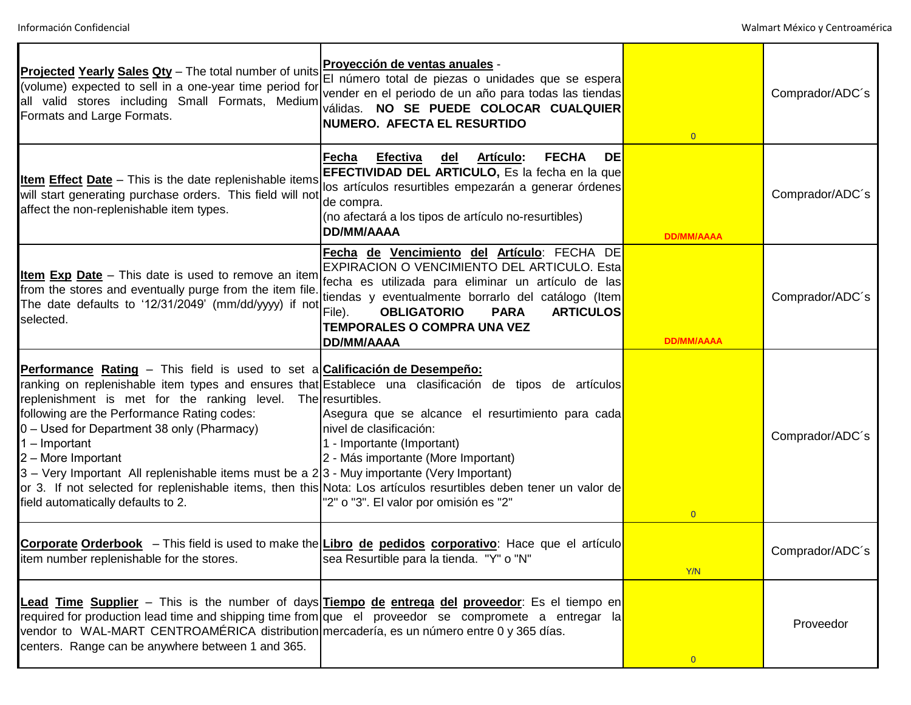| Projected Yearly Sales Qty - The total number of units<br>(volume) expected to sell in a one-year time period for<br>all valid stores including Small Formats, Medium<br>Formats and Large Formats.                                                                                                                                                                                                                                 | Proyección de ventas anuales -<br>El número total de piezas o unidades que se espera<br>vender en el periodo de un año para todas las tiendas<br>válidas. NO SE PUEDE COLOCAR CUALQUIER<br>NUMERO. AFECTA EL RESURTIDO                                                                                                                                                                                                    | $\overline{0}$    | Comprador/ADC's |
|-------------------------------------------------------------------------------------------------------------------------------------------------------------------------------------------------------------------------------------------------------------------------------------------------------------------------------------------------------------------------------------------------------------------------------------|---------------------------------------------------------------------------------------------------------------------------------------------------------------------------------------------------------------------------------------------------------------------------------------------------------------------------------------------------------------------------------------------------------------------------|-------------------|-----------------|
| <b>Item Effect Date</b> – This is the date replenishable items<br>will start generating purchase orders. This field will not<br>affect the non-replenishable item types.                                                                                                                                                                                                                                                            | <b>FECHA</b><br>Artículo:<br>DE<br>Efectiva<br>del<br>Fecha<br>EFECTIVIDAD DEL ARTICULO, Es la fecha en la que<br>los artículos resurtibles empezarán a generar órdenes<br>de compra.<br>(no afectará a los tipos de artículo no-resurtibles)<br><b>DD/MM/AAAA</b>                                                                                                                                                        | <b>DD/MM/AAAA</b> | Comprador/ADC's |
| <b>Item Exp Date</b> – This date is used to remove an item<br>from the stores and eventually purge from the item file.<br>The date defaults to '12/31/2049' (mm/dd/yyyy) if not<br>selected.                                                                                                                                                                                                                                        | Fecha de Vencimiento del Artículo: FECHA DE<br>EXPIRACION O VENCIMIENTO DEL ARTICULO. Esta<br>fecha es utilizada para eliminar un artículo de las<br>tiendas y eventualmente borrarlo del catálogo (Item<br>File).<br><b>OBLIGATORIO</b><br><b>PARA</b><br><b>ARTICULOS</b><br><b>TEMPORALES O COMPRA UNA VEZ</b><br><b>DD/MM/AAAA</b>                                                                                    | <b>DD/MM/AAAA</b> | Comprador/ADC's |
| <b>Performance Rating –</b> This field is used to set a <b>Calificación de Desempeño:</b><br>replenishment is met for the ranking level. The resurtibles.<br>following are the Performance Rating codes:<br>0 - Used for Department 38 only (Pharmacy)<br>$1 -$ Important<br>2 - More Important<br>3 - Very Important All replenishable items must be a 2 3 - Muy importante (Very Important)<br>field automatically defaults to 2. | ranking on replenishable item types and ensures that Establece una clasificación de tipos de artículos<br>Asegura que se alcance el resurtimiento para cada<br>nivel de clasificación:<br>1 - Importante (Important)<br>2 - Más importante (More Important)<br>or 3. If not selected for replenishable items, then this Nota: Los artículos resurtibles deben tener un valor de<br>"2" o "3". El valor por omisión es "2" | $\overline{0}$    | Comprador/ADC's |
| item number replenishable for the stores.                                                                                                                                                                                                                                                                                                                                                                                           | Corporate Orderbook - This field is used to make the Libro de pedidos corporativo: Hace que el artículo<br>sea Resurtible para la tienda. "Y" o "N"                                                                                                                                                                                                                                                                       | Y/N               | Comprador/ADC's |
| vendor to WAL-MART CENTROAMÉRICA distribution mercadería, es un número entre 0 y 365 días.<br>centers. Range can be anywhere between 1 and 365.                                                                                                                                                                                                                                                                                     | Lead Time Supplier - This is the number of days Tiempo de entrega del proveedor: Es el tiempo en<br>required for production lead time and shipping time from que el proveedor se compromete a entregar la                                                                                                                                                                                                                 | $\overline{0}$    | Proveedor       |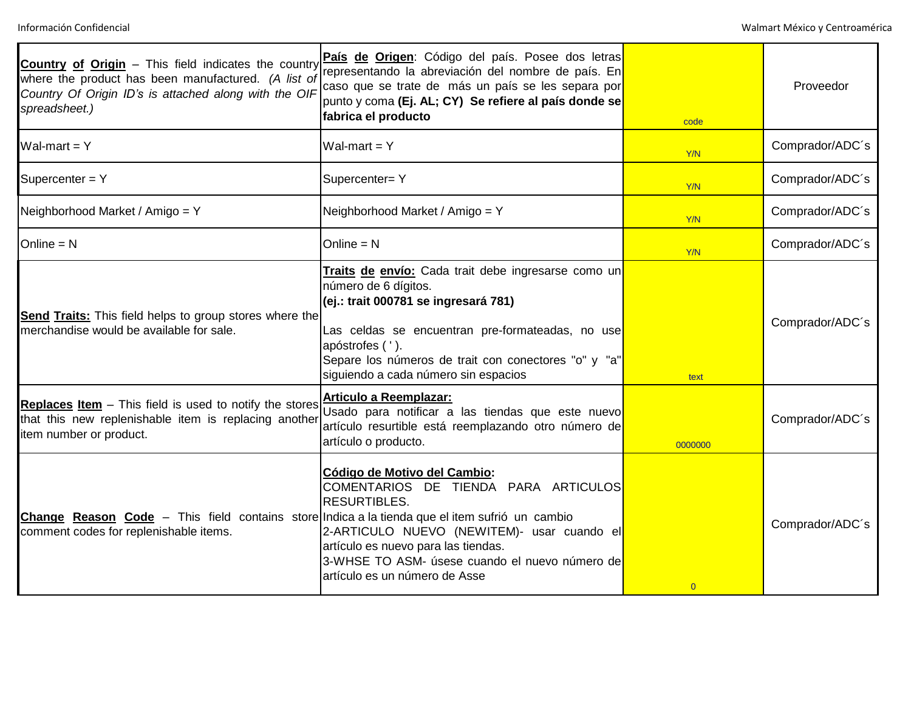| Country of Origin - This field indicates the country<br>where the product has been manufactured. (A list of<br>Country Of Origin ID's is attached along with the OIF<br>spreadsheet.) | País de Origen: Código del país. Posee dos letras<br>representando la abreviación del nombre de país. En<br>caso que se trate de más un país se les separa por<br>punto y coma (Ej. AL; CY) Se refiere al país donde se<br>fabrica el producto                                              | code           | Proveedor       |
|---------------------------------------------------------------------------------------------------------------------------------------------------------------------------------------|---------------------------------------------------------------------------------------------------------------------------------------------------------------------------------------------------------------------------------------------------------------------------------------------|----------------|-----------------|
| Wal-mart = $Y$                                                                                                                                                                        | Wal-mart = $Y$                                                                                                                                                                                                                                                                              | Y/N            | Comprador/ADC's |
| Supercenter = Y                                                                                                                                                                       | Supercenter= Y                                                                                                                                                                                                                                                                              | Y/N            | Comprador/ADC's |
| Neighborhood Market / Amigo = Y                                                                                                                                                       | Neighborhood Market / Amigo = Y                                                                                                                                                                                                                                                             | <b>Y/N</b>     | Comprador/ADC's |
| Online $= N$                                                                                                                                                                          | $Online = N$                                                                                                                                                                                                                                                                                | Y/N            | Comprador/ADC's |
| <b>Send Traits:</b> This field helps to group stores where the<br>merchandise would be available for sale.                                                                            | Traits de envío: Cada trait debe ingresarse como un<br>número de 6 dígitos.<br>(ej.: trait 000781 se ingresará 781)<br>Las celdas se encuentran pre-formateadas, no use<br>apóstrofes ( ').<br>Separe los números de trait con conectores "o" y "a"<br>siguiendo a cada número sin espacios | text           | Comprador/ADC's |
| <b>Replaces Item</b> – This field is used to notify the stores<br>that this new replenishable item is replacing another<br>item number or product.                                    | Articulo a Reemplazar:<br>Usado para notificar a las tiendas que este nuevo<br>artículo resurtible está reemplazando otro número de<br>artículo o producto.                                                                                                                                 | 0000000        | Comprador/ADC's |
| <b>Change Reason Code</b> – This field contains store Indica a la tienda que el item sufrió un cambio<br>comment codes for replenishable items.                                       | Código de Motivo del Cambio:<br>COMENTARIOS DE TIENDA PARA ARTICULOS<br><b>RESURTIBLES.</b><br>2-ARTICULO NUEVO (NEWITEM)- usar cuando el<br>artículo es nuevo para las tiendas.<br>3-WHSE TO ASM- úsese cuando el nuevo número de<br>artículo es un número de Asse                         | $\overline{0}$ | Comprador/ADC's |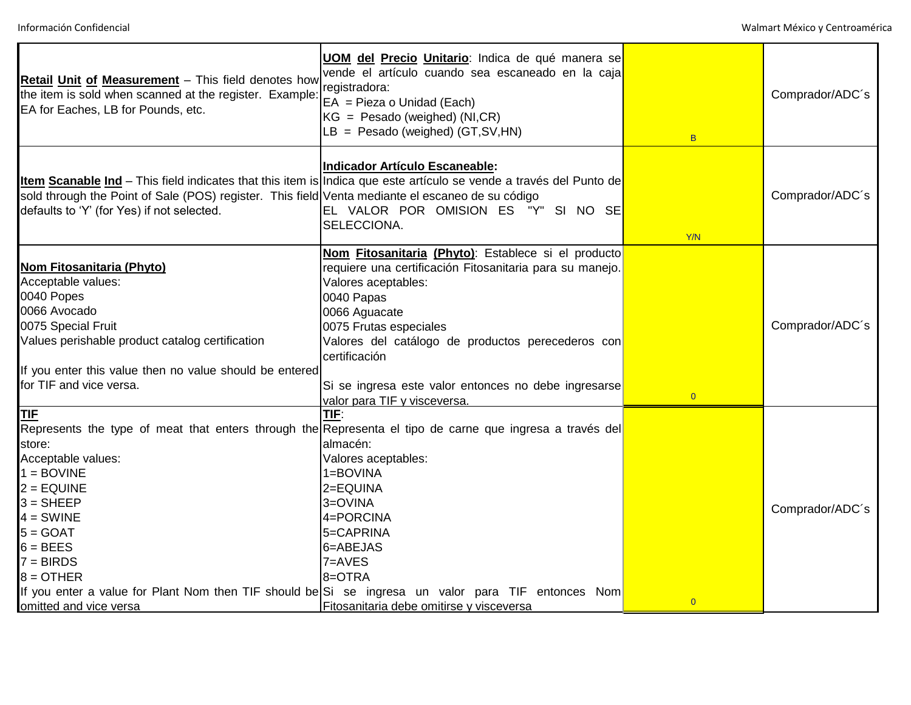| Retail Unit of Measurement - This field denotes how<br>the item is sold when scanned at the register. Example:<br>EA for Eaches, LB for Pounds, etc.                                                                                                | <b>UOM del Precio Unitario:</b> Indica de qué manera se<br>vende el artículo cuando sea escaneado en la caja<br>registradora:<br>$EA = Pieza o Unidad (Each)$<br>$KG = Pesado (weighted) (NI, CR)$<br>$LB = Pesado (weighted) (GT, SV, HN)$                                                                                                                                                        | B              | Comprador/ADC's |
|-----------------------------------------------------------------------------------------------------------------------------------------------------------------------------------------------------------------------------------------------------|----------------------------------------------------------------------------------------------------------------------------------------------------------------------------------------------------------------------------------------------------------------------------------------------------------------------------------------------------------------------------------------------------|----------------|-----------------|
| sold through the Point of Sale (POS) register. This field Venta mediante el escaneo de su código<br>defaults to 'Y' (for Yes) if not selected.                                                                                                      | Indicador Artículo Escaneable:<br>Item Scanable Ind - This field indicates that this item is Indica que este artículo se vende a través del Punto de<br>EL VALOR POR OMISION ES "Y" SI NO SE<br>SELECCIONA.                                                                                                                                                                                        | Y/N            | Comprador/ADC's |
| <b>Nom Fitosanitaria (Phyto)</b><br>Acceptable values:<br>0040 Popes<br>0066 Avocado<br>0075 Special Fruit<br>Values perishable product catalog certification<br>If you enter this value then no value should be entered<br>for TIF and vice versa. | Nom Fitosanitaria (Phyto): Establece si el producto<br>requiere una certificación Fitosanitaria para su manejo.<br>Valores aceptables:<br>0040 Papas<br>0066 Aguacate<br>0075 Frutas especiales<br>Valores del catálogo de productos perecederos con<br>certificación<br>Si se ingresa este valor entonces no debe ingresarse<br>valor para TIF y visceversa.                                      | $\overline{0}$ | Comprador/ADC's |
| <b>TIF</b><br>store:<br>Acceptable values:<br>$1 = BOVINE$<br>$2 = EQUINE$<br>$3 =$ SHEEP<br>$4 = SWINE$<br>$5 = GOAT$<br>$6 = BEES$<br>$7 = BIRDS$<br>$8 =$ OTHER<br>omitted and vice versa                                                        | TIF:<br>Represents the type of meat that enters through the Representa el tipo de carne que ingresa a través del<br>almacén:<br>Valores aceptables:<br>1=BOVINA<br>2=EQUINA<br>3=OVINA<br>4=PORCINA<br>5=CAPRINA<br>6=ABEJAS<br>7=AVES<br>8=OTRA<br>If you enter a value for Plant Nom then TIF should be Si se ingresa un valor para TIF entonces Nom<br>Fitosanitaria debe omitirse y visceversa | $\overline{0}$ | Comprador/ADC's |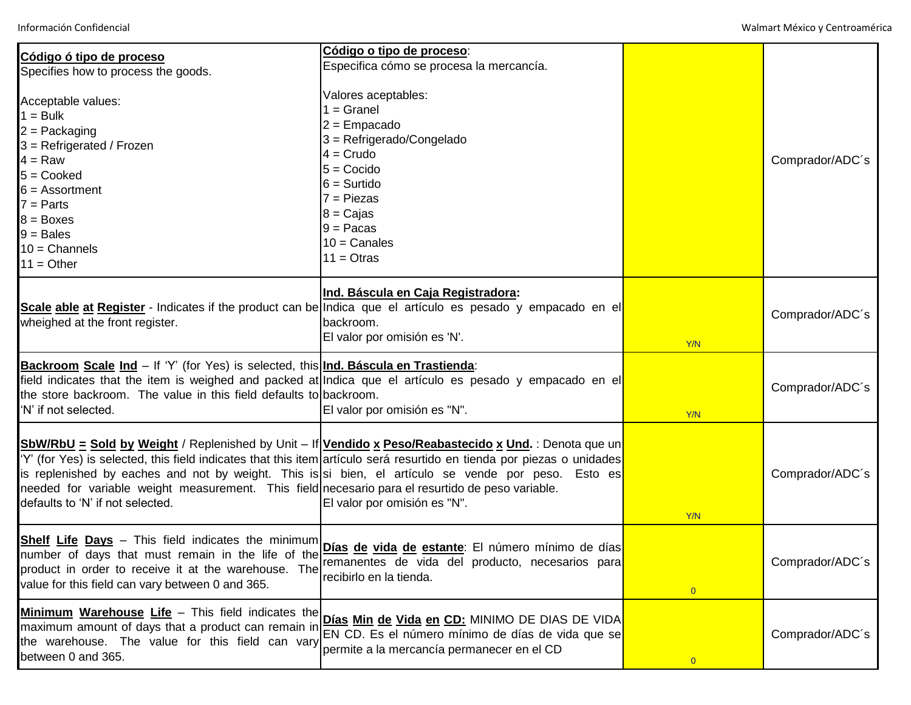| Código ó tipo de proceso                                                                                                                                                                                                                                                | Código o tipo de proceso:<br>Especifica cómo se procesa la mercancía.                                                                                                                                                                                                                                                                                                  |                |                 |
|-------------------------------------------------------------------------------------------------------------------------------------------------------------------------------------------------------------------------------------------------------------------------|------------------------------------------------------------------------------------------------------------------------------------------------------------------------------------------------------------------------------------------------------------------------------------------------------------------------------------------------------------------------|----------------|-----------------|
| Specifies how to process the goods.<br>Acceptable values:<br>$1 = Bulk$<br>$2 =$ Packaging<br>$3 = Refrigerated / Frozen$<br>$4 = Raw$<br>$5 = \text{Cooke}$<br>$6 =$ Assortment<br>$7 =$ Parts<br>$8 = \text{Boxes}$<br>$9 =$ Bales<br>$10 =$ Channels<br>$11 = Other$ | Valores aceptables:<br>$1 =$ Granel<br>$2 =$ Empacado<br>$3 = Refrigerado/Congelado$<br>$4 = Crudo$<br>$5 = Cocido$<br>$6 =$ Surtido<br>$7 =$ Piezas<br>$8 = Caij$<br>$9 =$ Pacas<br>$10 =$ Canales<br>$11 = Otras$                                                                                                                                                    |                | Comprador/ADC's |
| wheighed at the front register.                                                                                                                                                                                                                                         | Ind. Báscula en Caja Registradora:<br>Scale able at Register - Indicates if the product can be Indica que el artículo es pesado y empacado en el<br>backroom.<br>El valor por omisión es 'N'.                                                                                                                                                                          | Y/N            | Comprador/ADC's |
| Backroom Scale Ind - If 'Y' (for Yes) is selected, this Ind. Báscula en Trastienda:<br>the store backroom. The value in this field defaults to backroom.<br>'N' if not selected.                                                                                        | field indicates that the item is weighed and packed at Indica que el artículo es pesado y empacado en el<br>El valor por omisión es "N".                                                                                                                                                                                                                               | Y/N            | Comprador/ADC's |
| needed for variable weight measurement. This field necesario para el resurtido de peso variable.<br>defaults to 'N' if not selected.                                                                                                                                    | SbW/RbU = Sold by Weight / Replenished by Unit - If Vendido x Peso/Reabastecido x Und. : Denota que un<br>Y' (for Yes) is selected, this field indicates that this item artículo será resurtido en tienda por piezas o unidades<br>is replenished by eaches and not by weight. This is si bien, el artículo se vende por peso. Esto es<br>El valor por omisión es "N". | Y/N            | Comprador/ADC's |
| value for this field can vary between 0 and 365.                                                                                                                                                                                                                        | Shelf Life Days - This field indicates the minimum<br>number of days that must remain in the life of the Dias de vida de estante: El número mínimo de días<br>recibirlo en la tienda.                                                                                                                                                                                  | $\overline{0}$ | Comprador/ADC's |
| Minimum Warehouse Life - This field indicates the<br>the warehouse. The value for this field can vary<br>between 0 and 365.                                                                                                                                             | Días Min de Vida en CD: MINIMO DE DIAS DE VIDA<br>maximum amount of days that a product can remain in <b>Find the CD.</b> Es el número mínimo de días de vida que se<br>permite a la mercancía permanecer en el CD                                                                                                                                                     | $\overline{0}$ | Comprador/ADC's |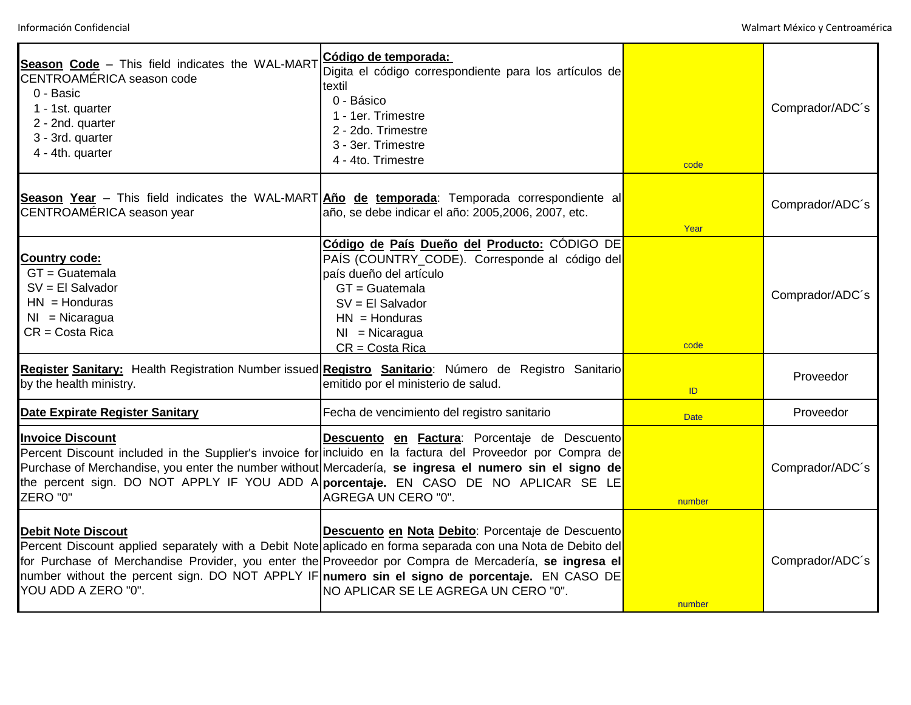| Season Code - This field indicates the WAL-MART<br>CENTROAMÉRICA season code<br>0 - Basic<br>1 - 1st. quarter<br>2 - 2nd. quarter<br>3 - 3rd. quarter<br>4 - 4th. quarter | Código de temporada:<br>Digita el código correspondiente para los artículos de<br>textil<br>0 - Básico<br>1 - 1er. Trimestre<br>2 - 2do. Trimestre<br>3 - 3er. Trimestre<br>4 - 4to. Trimestre                                                                                                                                                                                                                       | code        | Comprador/ADC's |
|---------------------------------------------------------------------------------------------------------------------------------------------------------------------------|----------------------------------------------------------------------------------------------------------------------------------------------------------------------------------------------------------------------------------------------------------------------------------------------------------------------------------------------------------------------------------------------------------------------|-------------|-----------------|
| CENTROAMÉRICA season year                                                                                                                                                 | Season Year - This field indicates the WAL-MART And de temporada: Temporada correspondiente al<br>año, se debe indicar el año: 2005,2006, 2007, etc.                                                                                                                                                                                                                                                                 | Year        | Comprador/ADC's |
| <b>Country code:</b><br>$GT = Guatemala$<br>$SV = El$ Salvador<br>$HN = Honduras$<br>$NI = Nicaragua$<br>$CR = Costa$ Rica                                                | Código de País Dueño del Producto: CÓDIGO DE<br>PAÍS (COUNTRY_CODE). Corresponde al código del<br>país dueño del artículo<br>$GT = Guatemala$<br>$SV = El$ Salvador<br>$HN = Honduras$<br>$NI = Nicaragua$<br>$CR = Costa$ Rica                                                                                                                                                                                      | code        | Comprador/ADC's |
| by the health ministry.                                                                                                                                                   | Register Sanitary: Health Registration Number issued Registro Sanitario: Número de Registro Sanitario<br>emitido por el ministerio de salud.                                                                                                                                                                                                                                                                         | ID          | Proveedor       |
| Date Expirate Register Sanitary                                                                                                                                           | Fecha de vencimiento del registro sanitario                                                                                                                                                                                                                                                                                                                                                                          | <b>Date</b> | Proveedor       |
| <b>Invoice Discount</b><br>ZERO "0"                                                                                                                                       | Descuento en Factura: Porcentaje de Descuento<br>Percent Discount included in the Supplier's invoice for incluido en la factura del Proveedor por Compra de<br>Purchase of Merchandise, you enter the number without Mercadería, se ingresa el numero sin el signo de<br>the percent sign. DO NOT APPLY IF YOU ADD A porcentaje. EN CASO DE NO APLICAR SE LE<br>AGREGA UN CERO "0".                                  | number      | Comprador/ADC's |
| <b>Debit Note Discout</b><br>YOU ADD A ZERO "0".                                                                                                                          | Descuento en Nota Debito: Porcentaje de Descuento<br>Percent Discount applied separately with a Debit Note aplicado en forma separada con una Nota de Debito del<br>for Purchase of Merchandise Provider, you enter the Proveedor por Compra de Mercadería, se ingresa el<br>number without the percent sign. DO NOT APPLY IF numero sin el signo de porcentaje. EN CASO DE<br>INO APLICAR SE LE AGREGA UN CERO "0". | number      | Comprador/ADC's |